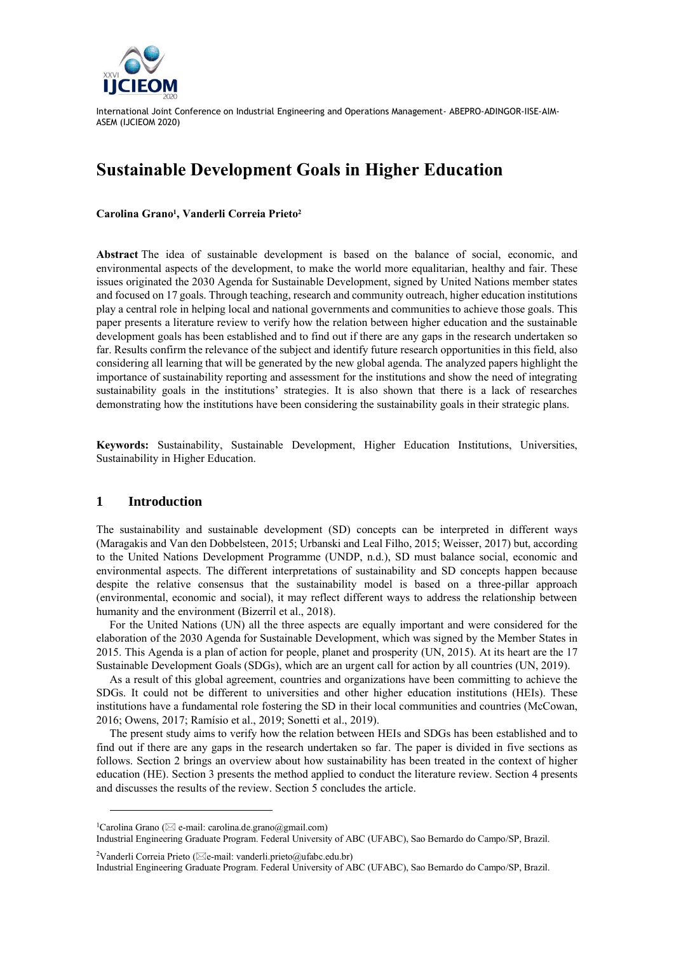

# **Sustainable Development Goals in Higher Education**

**Carolina Grano<sup>1</sup> , Vanderli Correia Prieto<sup>2</sup>**

**Abstract** The idea of sustainable development is based on the balance of social, economic, and environmental aspects of the development, to make the world more equalitarian, healthy and fair. These issues originated the 2030 Agenda for Sustainable Development, signed by United Nations member states and focused on 17 goals. Through teaching, research and community outreach, higher education institutions play a central role in helping local and national governments and communities to achieve those goals. This paper presents a literature review to verify how the relation between higher education and the sustainable development goals has been established and to find out if there are any gaps in the research undertaken so far. Results confirm the relevance of the subject and identify future research opportunities in this field, also considering all learning that will be generated by the new global agenda. The analyzed papers highlight the importance of sustainability reporting and assessment for the institutions and show the need of integrating sustainability goals in the institutions' strategies. It is also shown that there is a lack of researches demonstrating how the institutions have been considering the sustainability goals in their strategic plans.

**Keywords:** Sustainability, Sustainable Development, Higher Education Institutions, Universities, Sustainability in Higher Education.

### **1 Introduction**

The sustainability and sustainable development (SD) concepts can be interpreted in different ways (Maragakis and Van den Dobbelsteen, 2015; Urbanski and Leal Filho, 2015; Weisser, 2017) but, according to the United Nations Development Programme (UNDP, n.d.), SD must balance social, economic and environmental aspects. The different interpretations of sustainability and SD concepts happen because despite the relative consensus that the sustainability model is based on a three-pillar approach (environmental, economic and social), it may reflect different ways to address the relationship between humanity and the environment (Bizerril et al., 2018).

For the United Nations (UN) all the three aspects are equally important and were considered for the elaboration of the 2030 Agenda for Sustainable Development, which was signed by the Member States in 2015. This Agenda is a plan of action for people, planet and prosperity (UN, 2015). At its heart are the 17 Sustainable Development Goals (SDGs), which are an urgent call for action by all countries (UN, 2019).

As a result of this global agreement, countries and organizations have been committing to achieve the SDGs. It could not be different to universities and other higher education institutions (HEIs). These institutions have a fundamental role fostering the SD in their local communities and countries (McCowan, 2016; Owens, 2017; Ramísio et al., 2019; Sonetti et al., 2019).

The present study aims to verify how the relation between HEIs and SDGs has been established and to find out if there are any gaps in the research undertaken so far. The paper is divided in five sections as follows. Section 2 brings an overview about how sustainability has been treated in the context of higher education (HE). Section 3 presents the method applied to conduct the literature review. Section 4 presents and discusses the results of the review. Section 5 concludes the article.

Industrial Engineering Graduate Program. Federal University of ABC (UFABC), Sao Bernardo do Campo/SP, Brazil.

<sup>2</sup>Vanderli Correia Prieto ( $\boxtimes$ e-mail: vanderli.prieto@ufabc.edu.br)

 ${}^{1}$ Carolina Grano ( $\boxtimes$  e-mail: carolina.de.grano@gmail.com)

Industrial Engineering Graduate Program. Federal University of ABC (UFABC), Sao Bernardo do Campo/SP, Brazil.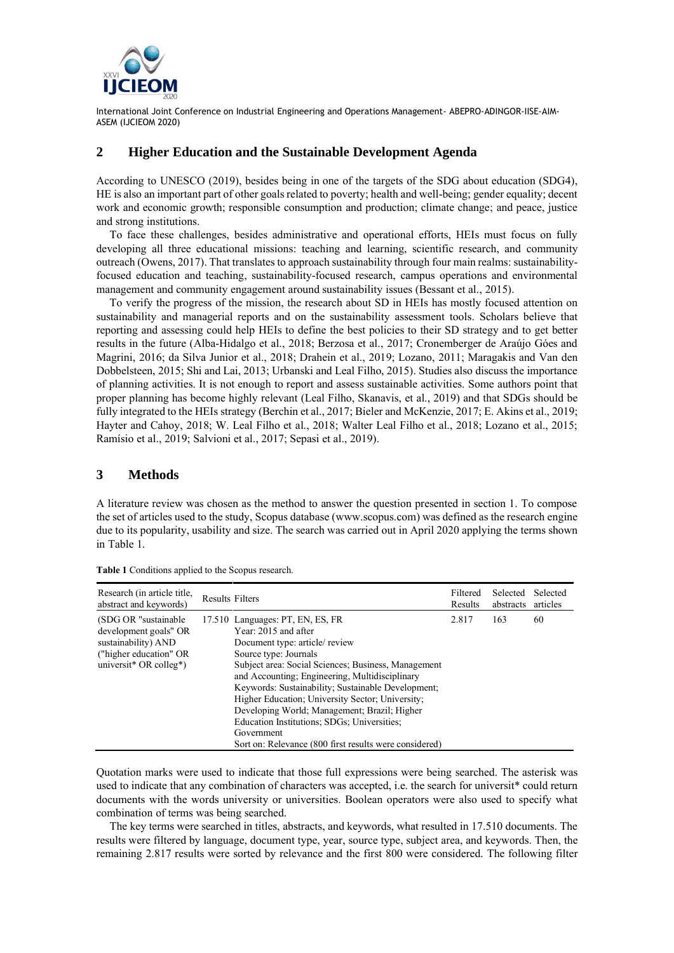

## **2 Higher Education and the Sustainable Development Agenda**

According to UNESCO (2019), besides being in one of the targets of the SDG about education (SDG4), HE is also an important part of other goals related to poverty; health and well-being; gender equality; decent work and economic growth; responsible consumption and production; climate change; and peace, justice and strong institutions.

To face these challenges, besides administrative and operational efforts, HEIs must focus on fully developing all three educational missions: teaching and learning, scientific research, and community outreach (Owens, 2017). That translates to approach sustainability through four main realms: sustainabilityfocused education and teaching, sustainability-focused research, campus operations and environmental management and community engagement around sustainability issues (Bessant et al., 2015).

To verify the progress of the mission, the research about SD in HEIs has mostly focused attention on sustainability and managerial reports and on the sustainability assessment tools. Scholars believe that reporting and assessing could help HEIs to define the best policies to their SD strategy and to get better results in the future (Alba-Hidalgo et al., 2018; Berzosa et al., 2017; Cronemberger de Araújo Góes and Magrini, 2016; da Silva Junior et al., 2018; Drahein et al., 2019; Lozano, 2011; Maragakis and Van den Dobbelsteen, 2015; Shi and Lai, 2013; Urbanski and Leal Filho, 2015). Studies also discuss the importance of planning activities. It is not enough to report and assess sustainable activities. Some authors point that proper planning has become highly relevant (Leal Filho, Skanavis, et al., 2019) and that SDGs should be fully integrated to the HEIs strategy (Berchin et al., 2017; Bieler and McKenzie, 2017; E. Akins et al., 2019; Hayter and Cahoy, 2018; W. Leal Filho et al., 2018; Walter Leal Filho et al., 2018; Lozano et al., 2015; Ramísio et al., 2019; Salvioni et al., 2017; Sepasi et al., 2019).

### **3 Methods**

A literature review was chosen as the method to answer the question presented in section 1. To compose the set of articles used to the study, Scopus database [\(www.scopus.com\)](http://www.scopus.com/) was defined as the research engine due to its popularity, usability and size. The search was carried out in April 2020 applying the terms shown in [Table 1.](#page-1-0)

| Research (in article title,                                                                                                                         | Results Filters                                                                                                                                                                                                                                                                                                                                                                                                                                                                                              | Filtered | Selected  | Selected |
|-----------------------------------------------------------------------------------------------------------------------------------------------------|--------------------------------------------------------------------------------------------------------------------------------------------------------------------------------------------------------------------------------------------------------------------------------------------------------------------------------------------------------------------------------------------------------------------------------------------------------------------------------------------------------------|----------|-----------|----------|
| abstract and keywords)                                                                                                                              |                                                                                                                                                                                                                                                                                                                                                                                                                                                                                                              | Results  | abstracts | articles |
| (SDG OR "sustainable")<br>development goals" OR<br>sustainability) AND<br>("higher education" OR<br>universit <sup>*</sup> OR colleg <sup>*</sup> ) | 17.510 Languages: PT, EN, ES, FR<br>Year: 2015 and after<br>Document type: article/review<br>Source type: Journals<br>Subject area: Social Sciences; Business, Management<br>and Accounting; Engineering, Multidisciplinary<br>Keywords: Sustainability; Sustainable Development;<br>Higher Education; University Sector; University;<br>Developing World; Management; Brazil; Higher<br>Education Institutions; SDGs; Universities;<br>Government<br>Sort on: Relevance (800 first results were considered) | 2.817    | 163       | 60       |

<span id="page-1-0"></span>**Table 1** Conditions applied to the Scopus research.

Quotation marks were used to indicate that those full expressions were being searched. The asterisk was used to indicate that any combination of characters was accepted, i.e. the search for universit\* could return documents with the words university or universities. Boolean operators were also used to specify what combination of terms was being searched.

The key terms were searched in titles, abstracts, and keywords, what resulted in 17.510 documents. The results were filtered by language, document type, year, source type, subject area, and keywords. Then, the remaining 2.817 results were sorted by relevance and the first 800 were considered. The following filter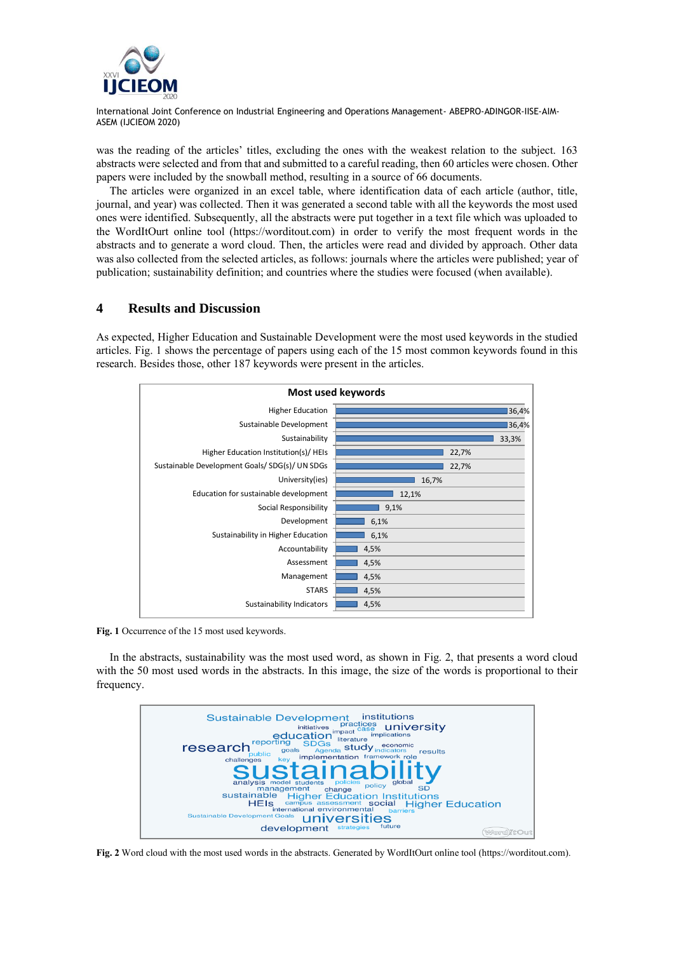

was the reading of the articles' titles, excluding the ones with the weakest relation to the subject. 163 abstracts were selected and from that and submitted to a careful reading, then 60 articles were chosen. Other papers were included by the snowball method, resulting in a source of 66 documents.

The articles were organized in an excel table, where identification data of each article (author, title, journal, and year) was collected. Then it was generated a second table with all the keywords the most used ones were identified. Subsequently, all the abstracts were put together in a text file which was uploaded to the WordItOurt online tool [\(https://worditout.com\)](https://worditout.com/word-cloud/4082119/private/edc892fd95c0eb7c2a79db4eedd7c4ed) in order to verify the most frequent words in the abstracts and to generate a word cloud. Then, the articles were read and divided by approach. Other data was also collected from the selected articles, as follows: journals where the articles were published; year of publication; sustainability definition; and countries where the studies were focused (when available).

### **4 Results and Discussion**

As expected, Higher Education and Sustainable Development were the most used keywords in the studied articles. [Fig. 1](#page-2-0) shows the percentage of papers using each of the 15 most common keywords found in this research. Besides those, other 187 keywords were present in the articles.



<span id="page-2-0"></span>**Fig. 1** Occurrence of the 15 most used keywords.

In the abstracts, sustainability was the most used word, as shown in [Fig. 2,](#page-2-1) that presents a word cloud with the 50 most used words in the abstracts. In this image, the size of the words is proportional to their frequency.



<span id="page-2-1"></span>**Fig. 2** Word cloud with the most used words in the abstracts. Generated by WordItOurt online tool [\(https://worditout.com\)](https://worditout.com/word-cloud/4082119/private/edc892fd95c0eb7c2a79db4eedd7c4ed).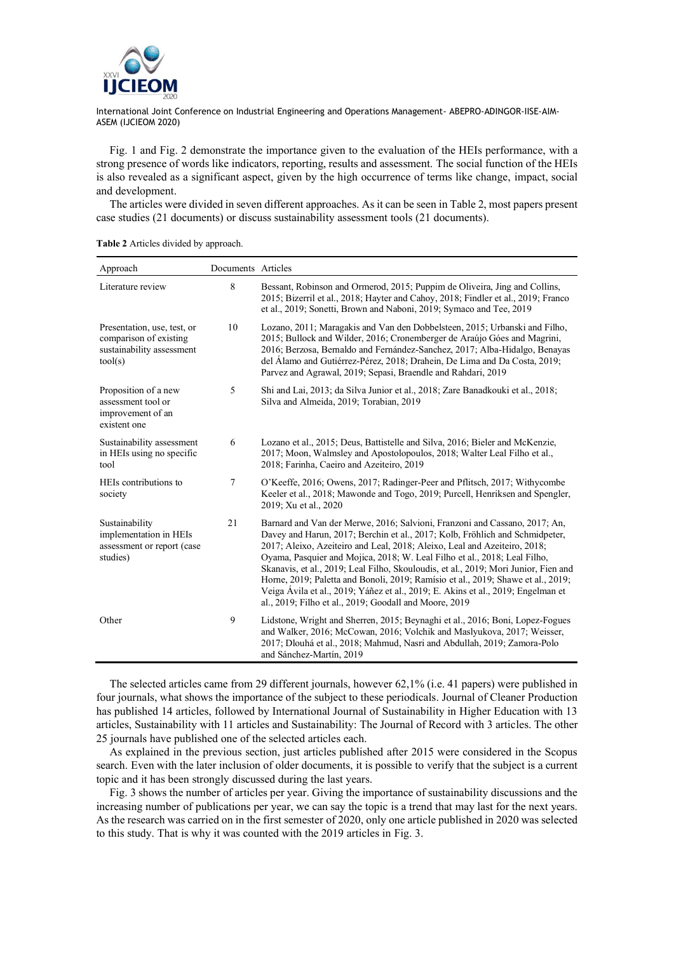

Fig. 1 and [Fig. 2](#page-2-1) demonstrate the importance given to the evaluation of the HEIs performance, with a strong presence of words like indicators, reporting, results and assessment. The social function of the HEIs is also revealed as a significant aspect, given by the high occurrence of terms like change, impact, social and development.

The articles were divided in seven different approaches. As it can be seen in [Table 2,](#page-3-0) most papers present case studies (21 documents) or discuss sustainability assessment tools (21 documents).

<span id="page-3-0"></span>

| Approach                                                                                      | Documents Articles |                                                                                                                                                                                                                                                                                                                                                                                                                                                                                                                                                                                                                                               |
|-----------------------------------------------------------------------------------------------|--------------------|-----------------------------------------------------------------------------------------------------------------------------------------------------------------------------------------------------------------------------------------------------------------------------------------------------------------------------------------------------------------------------------------------------------------------------------------------------------------------------------------------------------------------------------------------------------------------------------------------------------------------------------------------|
| Literature review                                                                             | 8                  | Bessant, Robinson and Ormerod, 2015; Puppim de Oliveira, Jing and Collins,<br>2015; Bizerril et al., 2018; Hayter and Cahoy, 2018; Findler et al., 2019; Franco<br>et al., 2019; Sonetti, Brown and Naboni, 2019; Symaco and Tee, 2019                                                                                                                                                                                                                                                                                                                                                                                                        |
| Presentation, use, test, or<br>comparison of existing<br>sustainability assessment<br>tool(s) | 10                 | Lozano, 2011; Maragakis and Van den Dobbelsteen, 2015; Urbanski and Filho,<br>2015; Bullock and Wilder, 2016; Cronemberger de Araújo Góes and Magrini,<br>2016; Berzosa, Bernaldo and Fernández-Sanchez, 2017; Alba-Hidalgo, Benayas<br>del Alamo and Gutiérrez-Pérez, 2018; Drahein, De Lima and Da Costa, 2019;<br>Parvez and Agrawal, 2019; Sepasi, Braendle and Rahdari, 2019                                                                                                                                                                                                                                                             |
| Proposition of a new<br>assessment tool or<br>improvement of an<br>existent one               | 5                  | Shi and Lai, 2013; da Silva Junior et al., 2018; Zare Banadkouki et al., 2018;<br>Silva and Almeida, 2019; Torabian, 2019                                                                                                                                                                                                                                                                                                                                                                                                                                                                                                                     |
| Sustainability assessment<br>in HEIs using no specific<br>tool                                | 6                  | Lozano et al., 2015; Deus, Battistelle and Silva, 2016; Bieler and McKenzie,<br>2017; Moon, Walmsley and Apostolopoulos, 2018; Walter Leal Filho et al.,<br>2018; Farinha, Caeiro and Azeiteiro, 2019                                                                                                                                                                                                                                                                                                                                                                                                                                         |
| HEIs contributions to<br>society                                                              | 7                  | O'Keeffe, 2016; Owens, 2017; Radinger-Peer and Pflitsch, 2017; Withycombe<br>Keeler et al., 2018; Mawonde and Togo, 2019; Purcell, Henriksen and Spengler,<br>2019; Xu et al., 2020                                                                                                                                                                                                                                                                                                                                                                                                                                                           |
| Sustainability<br>implementation in HEIs<br>assessment or report (case<br>studies)            | 21                 | Barnard and Van der Merwe, 2016; Salvioni, Franzoni and Cassano, 2017; An,<br>Davey and Harun, 2017; Berchin et al., 2017; Kolb, Fröhlich and Schmidpeter,<br>2017; Aleixo, Azeiteiro and Leal, 2018; Aleixo, Leal and Azeiteiro, 2018;<br>Oyama, Pasquier and Mojica, 2018; W. Leal Filho et al., 2018; Leal Filho,<br>Skanavis, et al., 2019; Leal Filho, Skouloudis, et al., 2019; Mori Junior, Fien and<br>Horne, 2019; Paletta and Bonoli, 2019; Ramísio et al., 2019; Shawe et al., 2019;<br>Veiga Ávila et al., 2019; Yáñez et al., 2019; E. Akins et al., 2019; Engelman et<br>al., 2019; Filho et al., 2019; Goodall and Moore, 2019 |
| Other                                                                                         | 9                  | Lidstone, Wright and Sherren, 2015; Beynaghi et al., 2016; Boni, Lopez-Fogues<br>and Walker, 2016; McCowan, 2016; Volchik and Maslyukova, 2017; Weisser,<br>2017; Dlouhá et al., 2018; Mahmud, Nasri and Abdullah, 2019; Zamora-Polo<br>and Sánchez-Martín, 2019                                                                                                                                                                                                                                                                                                                                                                              |

The selected articles came from 29 different journals, however 62,1% (i.e. 41 papers) were published in four journals, what shows the importance of the subject to these periodicals. Journal of Cleaner Production has published 14 articles, followed by International Journal of Sustainability in Higher Education with 13 articles, Sustainability with 11 articles and Sustainability: The Journal of Record with 3 articles. The other 25 journals have published one of the selected articles each.

As explained in the previous section, just articles published after 2015 were considered in the Scopus search. Even with the later inclusion of older documents, it is possible to verify that the subject is a current topic and it has been strongly discussed during the last years.

[Fig. 3](#page-4-0) shows the number of articles per year. Giving the importance of sustainability discussions and the increasing number of publications per year, we can say the topic is a trend that may last for the next years. As the research was carried on in the first semester of 2020, only one article published in 2020 was selected to this study. That is why it was counted with the 2019 articles in [Fig. 3.](#page-4-0)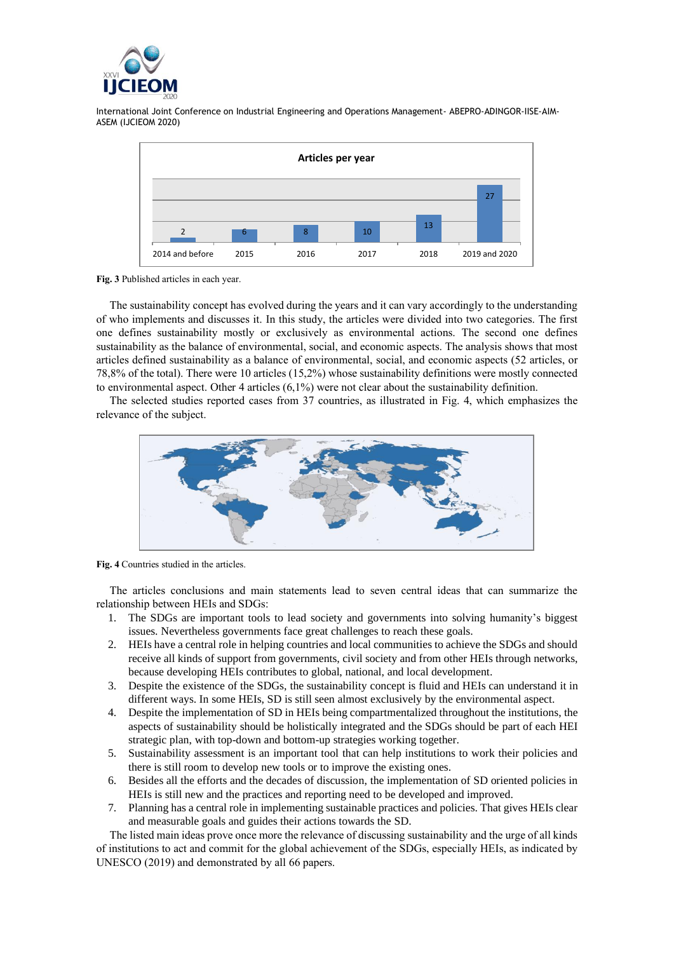



<span id="page-4-0"></span>**Fig. 3** Published articles in each year.

The sustainability concept has evolved during the years and it can vary accordingly to the understanding of who implements and discusses it. In this study, the articles were divided into two categories. The first one defines sustainability mostly or exclusively as environmental actions. The second one defines sustainability as the balance of environmental, social, and economic aspects. The analysis shows that most articles defined sustainability as a balance of environmental, social, and economic aspects (52 articles, or 78,8% of the total). There were 10 articles (15,2%) whose sustainability definitions were mostly connected to environmental aspect. Other 4 articles (6,1%) were not clear about the sustainability definition.

The selected studies reported cases from 37 countries, as illustrated in [Fig. 4,](#page-4-1) which emphasizes the relevance of the subject.



<span id="page-4-1"></span>

The articles conclusions and main statements lead to seven central ideas that can summarize the relationship between HEIs and SDGs:

- 1. The SDGs are important tools to lead society and governments into solving humanity's biggest issues. Nevertheless governments face great challenges to reach these goals.
- 2. HEIs have a central role in helping countries and local communities to achieve the SDGs and should receive all kinds of support from governments, civil society and from other HEIs through networks, because developing HEIs contributes to global, national, and local development.
- 3. Despite the existence of the SDGs, the sustainability concept is fluid and HEIs can understand it in different ways. In some HEIs, SD is still seen almost exclusively by the environmental aspect.
- 4. Despite the implementation of SD in HEIs being compartmentalized throughout the institutions, the aspects of sustainability should be holistically integrated and the SDGs should be part of each HEI strategic plan, with top-down and bottom-up strategies working together.
- 5. Sustainability assessment is an important tool that can help institutions to work their policies and there is still room to develop new tools or to improve the existing ones.
- 6. Besides all the efforts and the decades of discussion, the implementation of SD oriented policies in HEIs is still new and the practices and reporting need to be developed and improved.
- 7. Planning has a central role in implementing sustainable practices and policies. That gives HEIs clear and measurable goals and guides their actions towards the SD.

The listed main ideas prove once more the relevance of discussing sustainability and the urge of all kinds of institutions to act and commit for the global achievement of the SDGs, especially HEIs, as indicated by UNESCO (2019) and demonstrated by all 66 papers.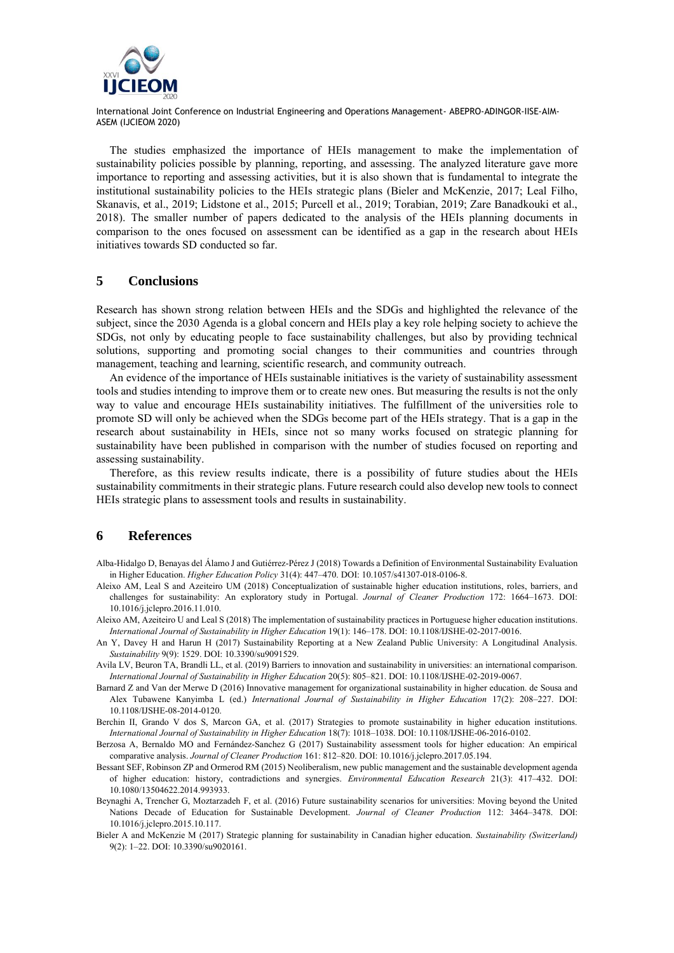

The studies emphasized the importance of HEIs management to make the implementation of sustainability policies possible by planning, reporting, and assessing. The analyzed literature gave more importance to reporting and assessing activities, but it is also shown that is fundamental to integrate the institutional sustainability policies to the HEIs strategic plans (Bieler and McKenzie, 2017; Leal Filho, Skanavis, et al., 2019; Lidstone et al., 2015; Purcell et al., 2019; Torabian, 2019; Zare Banadkouki et al., 2018). The smaller number of papers dedicated to the analysis of the HEIs planning documents in comparison to the ones focused on assessment can be identified as a gap in the research about HEIs initiatives towards SD conducted so far.

#### **5 Conclusions**

Research has shown strong relation between HEIs and the SDGs and highlighted the relevance of the subject, since the 2030 Agenda is a global concern and HEIs play a key role helping society to achieve the SDGs, not only by educating people to face sustainability challenges, but also by providing technical solutions, supporting and promoting social changes to their communities and countries through management, teaching and learning, scientific research, and community outreach.

An evidence of the importance of HEIs sustainable initiatives is the variety of sustainability assessment tools and studies intending to improve them or to create new ones. But measuring the results is not the only way to value and encourage HEIs sustainability initiatives. The fulfillment of the universities role to promote SD will only be achieved when the SDGs become part of the HEIs strategy. That is a gap in the research about sustainability in HEIs, since not so many works focused on strategic planning for sustainability have been published in comparison with the number of studies focused on reporting and assessing sustainability.

Therefore, as this review results indicate, there is a possibility of future studies about the HEIs sustainability commitments in their strategic plans. Future research could also develop new tools to connect HEIs strategic plans to assessment tools and results in sustainability.

### **6 References**

Alba-Hidalgo D, Benayas del Álamo J and Gutiérrez-Pérez J (2018) Towards a Definition of Environmental Sustainability Evaluation in Higher Education. *Higher Education Policy* 31(4): 447–470. DOI: 10.1057/s41307-018-0106-8.

- Aleixo AM, Leal S and Azeiteiro UM (2018) Conceptualization of sustainable higher education institutions, roles, barriers, and challenges for sustainability: An exploratory study in Portugal. *Journal of Cleaner Production* 172: 1664–1673. DOI: 10.1016/j.jclepro.2016.11.010.
- Aleixo AM, Azeiteiro U and Leal S (2018) The implementation of sustainability practices in Portuguese higher education institutions. *International Journal of Sustainability in Higher Education* 19(1): 146–178. DOI: 10.1108/IJSHE-02-2017-0016.
- An Y, Davey H and Harun H (2017) Sustainability Reporting at a New Zealand Public University: A Longitudinal Analysis. *Sustainability* 9(9): 1529. DOI: 10.3390/su9091529.
- Avila LV, Beuron TA, Brandli LL, et al. (2019) Barriers to innovation and sustainability in universities: an international comparison. *International Journal of Sustainability in Higher Education* 20(5): 805–821. DOI: 10.1108/IJSHE-02-2019-0067.
- Barnard Z and Van der Merwe D (2016) Innovative management for organizational sustainability in higher education. de Sousa and Alex Tubawene Kanyimba L (ed.) *International Journal of Sustainability in Higher Education* 17(2): 208–227. DOI: 10.1108/IJSHE-08-2014-0120.
- Berchin II, Grando V dos S, Marcon GA, et al. (2017) Strategies to promote sustainability in higher education institutions. *International Journal of Sustainability in Higher Education* 18(7): 1018–1038. DOI: 10.1108/IJSHE-06-2016-0102.
- Berzosa A, Bernaldo MO and Fernández-Sanchez G (2017) Sustainability assessment tools for higher education: An empirical comparative analysis. *Journal of Cleaner Production* 161: 812–820. DOI: 10.1016/j.jclepro.2017.05.194.
- Bessant SEF, Robinson ZP and Ormerod RM (2015) Neoliberalism, new public management and the sustainable development agenda of higher education: history, contradictions and synergies. *Environmental Education Research* 21(3): 417–432. DOI: 10.1080/13504622.2014.993933.
- Beynaghi A, Trencher G, Moztarzadeh F, et al. (2016) Future sustainability scenarios for universities: Moving beyond the United Nations Decade of Education for Sustainable Development. *Journal of Cleaner Production* 112: 3464–3478. DOI: 10.1016/j.jclepro.2015.10.117.
- Bieler A and McKenzie M (2017) Strategic planning for sustainability in Canadian higher education. *Sustainability (Switzerland)* 9(2): 1–22. DOI: 10.3390/su9020161.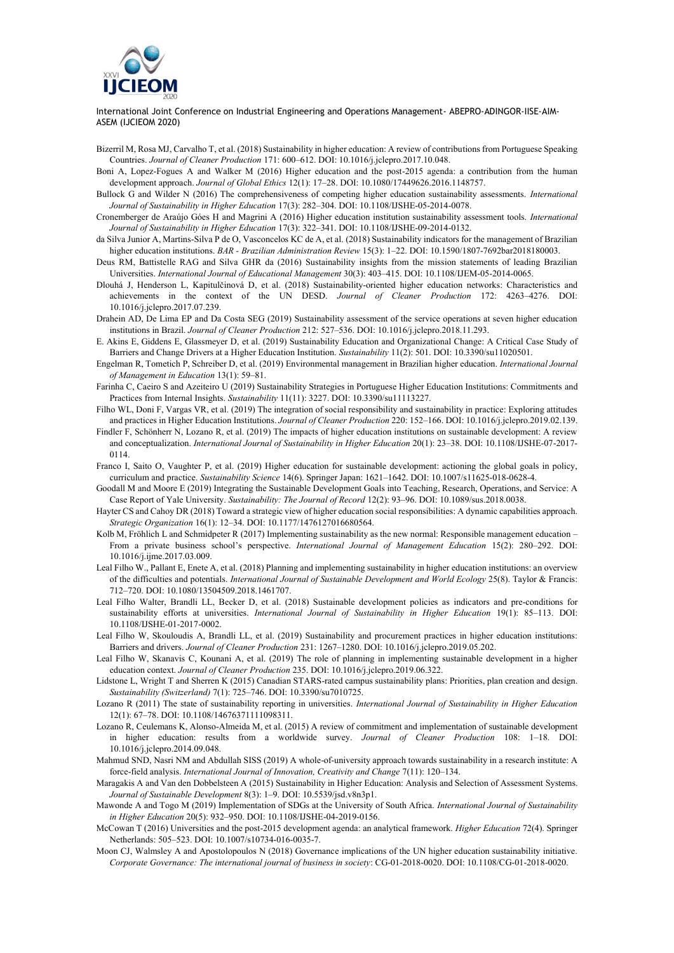

- Bizerril M, Rosa MJ, Carvalho T, et al. (2018) Sustainability in higher education: A review of contributions from Portuguese Speaking Countries. *Journal of Cleaner Production* 171: 600–612. DOI: 10.1016/j.jclepro.2017.10.048.
- Boni A, Lopez-Fogues A and Walker M (2016) Higher education and the post-2015 agenda: a contribution from the human development approach. *Journal of Global Ethics* 12(1): 17–28. DOI: 10.1080/17449626.2016.1148757.
- Bullock G and Wilder N (2016) The comprehensiveness of competing higher education sustainability assessments. *International Journal of Sustainability in Higher Education* 17(3): 282–304. DOI: 10.1108/IJSHE-05-2014-0078.
- Cronemberger de Araújo Góes H and Magrini A (2016) Higher education institution sustainability assessment tools. *International Journal of Sustainability in Higher Education* 17(3): 322–341. DOI: 10.1108/IJSHE-09-2014-0132.
- da Silva Junior A, Martins-Silva P de O, Vasconcelos KC de A, et al. (2018) Sustainability indicators for the management of Brazilian higher education institutions. *BAR - Brazilian Administration Review* 15(3): 1–22. DOI: 10.1590/1807-7692bar2018180003.
- Deus RM, Battistelle RAG and Silva GHR da (2016) Sustainability insights from the mission statements of leading Brazilian Universities. *International Journal of Educational Management* 30(3): 403–415. DOI: 10.1108/IJEM-05-2014-0065.
- Dlouhá J, Henderson L, Kapitulčinová D, et al. (2018) Sustainability-oriented higher education networks: Characteristics and achievements in the context of the UN DESD. *Journal of Cleaner Production* 172: 4263–4276. DOI: 10.1016/j.jclepro.2017.07.239.
- Drahein AD, De Lima EP and Da Costa SEG (2019) Sustainability assessment of the service operations at seven higher education institutions in Brazil. *Journal of Cleaner Production* 212: 527–536. DOI: 10.1016/j.jclepro.2018.11.293.
- E. Akins E, Giddens E, Glassmeyer D, et al. (2019) Sustainability Education and Organizational Change: A Critical Case Study of Barriers and Change Drivers at a Higher Education Institution. *Sustainability* 11(2): 501. DOI: 10.3390/su11020501.
- Engelman R, Tometich P, Schreiber D, et al. (2019) Environmental management in Brazilian higher education. *International Journal of Management in Education* 13(1): 59–81.
- Farinha C, Caeiro S and Azeiteiro U (2019) Sustainability Strategies in Portuguese Higher Education Institutions: Commitments and Practices from Internal Insights. *Sustainability* 11(11): 3227. DOI: 10.3390/su11113227.
- Filho WL, Doni F, Vargas VR, et al. (2019) The integration of social responsibility and sustainability in practice: Exploring attitudes and practices in Higher Education Institutions. *Journal of Cleaner Production* 220: 152–166. DOI: 10.1016/j.jclepro.2019.02.139.
- Findler F, Schönherr N, Lozano R, et al. (2019) The impacts of higher education institutions on sustainable development: A review and conceptualization. *International Journal of Sustainability in Higher Education* 20(1): 23–38. DOI: 10.1108/IJSHE-07-2017- 0114.
- Franco I, Saito O, Vaughter P, et al. (2019) Higher education for sustainable development: actioning the global goals in policy, curriculum and practice. *Sustainability Science* 14(6). Springer Japan: 1621–1642. DOI: 10.1007/s11625-018-0628-4.
- Goodall M and Moore E (2019) Integrating the Sustainable Development Goals into Teaching, Research, Operations, and Service: A Case Report of Yale University. *Sustainability: The Journal of Record* 12(2): 93–96. DOI: 10.1089/sus.2018.0038.
- Hayter CS and Cahoy DR (2018) Toward a strategic view of higher education social responsibilities: A dynamic capabilities approach. *Strategic Organization* 16(1): 12–34. DOI: 10.1177/1476127016680564.
- Kolb M, Fröhlich L and Schmidpeter R (2017) Implementing sustainability as the new normal: Responsible management education From a private business school's perspective. *International Journal of Management Education* 15(2): 280–292. DOI: 10.1016/j.ijme.2017.03.009.
- Leal Filho W., Pallant E, Enete A, et al. (2018) Planning and implementing sustainability in higher education institutions: an overview of the difficulties and potentials. *International Journal of Sustainable Development and World Ecology* 25(8). Taylor & Francis: 712–720. DOI: 10.1080/13504509.2018.1461707.
- Leal Filho Walter, Brandli LL, Becker D, et al. (2018) Sustainable development policies as indicators and pre-conditions for sustainability efforts at universities. *International Journal of Sustainability in Higher Education* 19(1): 85–113. DOI: 10.1108/IJSHE-01-2017-0002.
- Leal Filho W, Skouloudis A, Brandli LL, et al. (2019) Sustainability and procurement practices in higher education institutions: Barriers and drivers. *Journal of Cleaner Production* 231: 1267–1280. DOI: 10.1016/j.jclepro.2019.05.202.
- Leal Filho W, Skanavis C, Kounani A, et al. (2019) The role of planning in implementing sustainable development in a higher education context. *Journal of Cleaner Production* 235. DOI: 10.1016/j.jclepro.2019.06.322.
- Lidstone L, Wright T and Sherren K (2015) Canadian STARS-rated campus sustainability plans: Priorities, plan creation and design. *Sustainability (Switzerland)* 7(1): 725–746. DOI: 10.3390/su7010725.
- Lozano R (2011) The state of sustainability reporting in universities. *International Journal of Sustainability in Higher Education* 12(1): 67–78. DOI: 10.1108/14676371111098311.
- Lozano R, Ceulemans K, Alonso-Almeida M, et al. (2015) A review of commitment and implementation of sustainable development in higher education: results from a worldwide survey. *Journal of Cleaner Production* 108: 1–18. DOI: 10.1016/j.jclepro.2014.09.048.
- Mahmud SND, Nasri NM and Abdullah SISS (2019) A whole-of-university approach towards sustainability in a research institute: A force-field analysis. *International Journal of Innovation, Creativity and Change* 7(11): 120–134.
- Maragakis A and Van den Dobbelsteen A (2015) Sustainability in Higher Education: Analysis and Selection of Assessment Systems. *Journal of Sustainable Development* 8(3): 1–9. DOI: 10.5539/jsd.v8n3p1.
- Mawonde A and Togo M (2019) Implementation of SDGs at the University of South Africa. *International Journal of Sustainability in Higher Education* 20(5): 932–950. DOI: 10.1108/IJSHE-04-2019-0156.
- McCowan T (2016) Universities and the post-2015 development agenda: an analytical framework. *Higher Education* 72(4). Springer Netherlands: 505–523. DOI: 10.1007/s10734-016-0035-7.
- Moon CJ, Walmsley A and Apostolopoulos N (2018) Governance implications of the UN higher education sustainability initiative. *Corporate Governance: The international journal of business in society*: CG-01-2018-0020. DOI: 10.1108/CG-01-2018-0020.